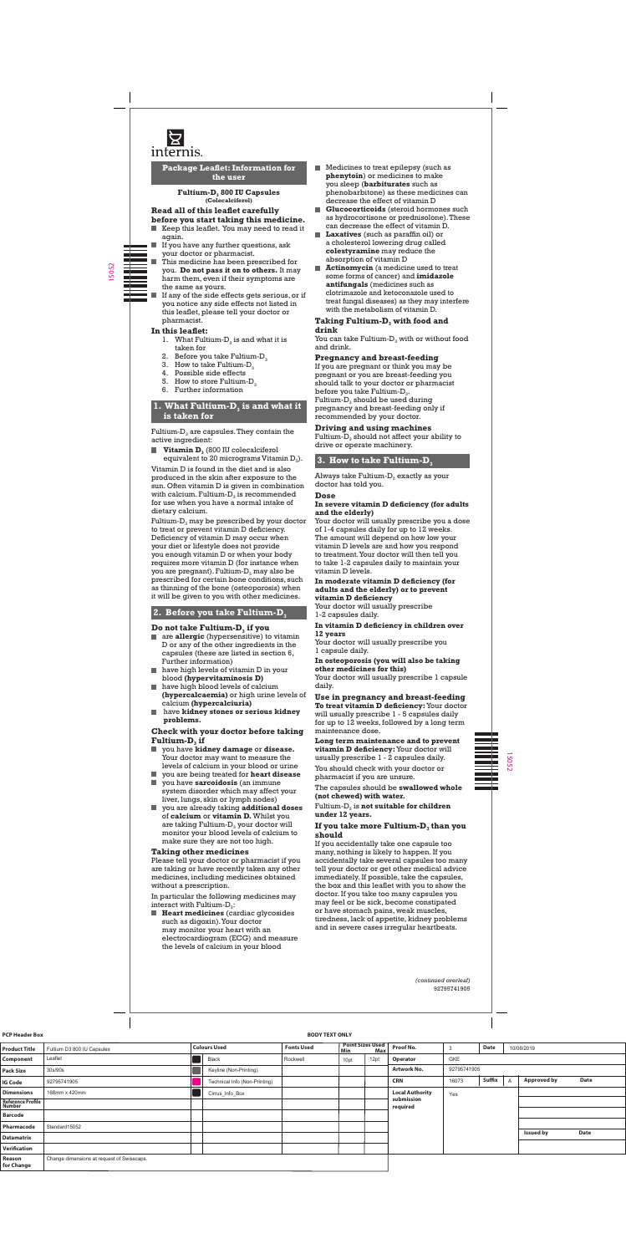

**Package Leaflet: Information for the user**

> Fultium-D<sub>3</sub> 800 IU Capsules **(Colecalciferol)**

# **Read all of this leaflet carefully**

- **before you start taking this medicine.** Keep this leaflet. You may need to read it again.
- H If you have any further questions, ask your doctor or pharmacist.
	- This medicine has been prescribed for you. **Do not pass it on to others.** It may harm them, even if their symptoms are the same as yours.
	- If any of the side effects gets serious, or if you notice any side effects not listed in this leaflet, please tell your doctor or pharmacist.

- 1. What Fultium- $D_3$  is and what it is taken for
- 2. Before you take Fultium- $D_3$
- 3. How to take Fultium- $D_3$ <br>4. Possible side effects
- Possible side effects
- 5. How to store Fultium- $D_3$
- 6. Further information

## **1. What Fultium-D<sub>3</sub> is and what it is taken for**

Fultium- $D_3$  are capsules. They contain the active ingredient:

**Vitamin D**<sub>3</sub> (800 IU colecalciferol equivalent to 20 micrograms Vitamin  $D_3$ ).

## **In this leaflet:**

Fultium- $D_3$  may be prescribed by your doctor to treat or prevent vitamin D deficiency. Deficiency of vitamin D may occur when your diet or lifestyle does not provide you enough vitamin D or when your body requires more vitamin D (for instance when you are pregnant). Fultium- $D_3$  may also be prescribed for certain bone conditions, such as thinning of the bone (osteoporosis) when it will be given to you with other medicines.

# **2. Before you take Fultium-D**<sub>3</sub>

### **Do not take Fultium-D<sub>3</sub> if you**

#### **Check with your doctor before taking Fultium-D<sub>3</sub>** if

Vitamin D is found in the diet and is also produced in the skin after exposure to the sun. Often vitamin D is given in combination with calcium. Fultium- $\overline{D}_3$  is recommended for use when you have a normal intake of dietary calcium.

In particular the following medicines may interact with Fultium- $D_3$ :

**Heart medicines** (cardiac glycosides such as digoxin).Your doctor may monitor your heart with an electrocardiogram (ECG) and measure the levels of calcium in your blood

## **Taking Fultium-D<sub>3</sub> with food and drink**

You can take Fultium- $D_3$  with or without food and drink.

- are **allergic** (hypersensitive) to vitamin D or any of the other ingredients in the capsules (these are listed in section 6, Further information)
- **have high levels of vitamin D in your** blood **(hypervitaminosis D)**
- $\blacksquare$  have high blood levels of calcium **(hypercalcaemia)** or high urine levels of calcium **(hypercalciuria)**
- have **kidney stones or serious kidney problems.**

Fultium- $D_3$  should not affect your ability to drive or operate machinery.

## **3. How to take Fultium-D**<sub>3</sub>

Always take Fultium- $D_3$  exactly as your doctor has told you.

- you have **kidney damage** or **disease.** Your doctor may want to measure the levels of calcium in your blood or urine
- П you are being treated for **heart disease** ш you have **sarcoidosis** (an immune
- 

system disorder which may affect your liver, lungs, skin or lymph nodes)

you are already taking **additional doses** of **calcium** or **vitamin D.** Whilst you are taking Fultium- $D_3$  your doctor will monitor your blood levels of calcium to make sure they are not too high.

## **Taking other medicines**

Please tell your doctor or pharmacist if you are taking or have recently taken any other medicines, including medicines obtained without a prescription.

Fultium-D<sub>3</sub> is **not suitable for children under 12 years.**

### **If you take more Fultium-D<sub>3</sub> than you should**

- Medicines to treat epilepsy (such as **phenytoin**) or medicines to make you sleep (**barbiturates** such as phenobarbitone) as these medicines can decrease the effect of vitamin D
- **Glucocorticoids** (steroid hormones such as hydrocortisone or prednisolone). These can decrease the effect of vitamin D.
- **Laxatives** (such as paraffin oil) or a cholesterol lowering drug called **colestyramine** may reduce the absorption of vitamin D
- **Actinomycin** (a medicine used to treat some forms of cancer) and **imidazole antifungals** (medicines such as clotrimazole and ketoconazole used to treat fungal diseases) as they may interfere with the metabolism of vitamin D.

### **Pregnancy and breast-feeding**

If you are pregnant or think you may be pregnant or you are breast-feeding you should talk to your doctor or pharmacist before you take Fultium- $D_3$ . Fultium- $D_3$  should be used during pregnancy and breast-feeding only if recommended by your doctor.

## **Driving and using machines**

### **Dose**

#### **In severe vitamin D deficiency (for adults and the elderly)**

Your doctor will usually prescribe you a dose of 1-4 capsules daily for up to 12 weeks. The amount will depend on how low your vitamin D levels are and how you respond to treatment.Your doctor will then tell you to take 1-2 capsules daily to maintain your vitamin D levels.

### **In moderate vitamin D deficiency (for adults and the elderly) or to prevent vitamin D deficiency**

Your doctor will usually prescribe 1-2 capsules daily.

#### **In vitamin D deficiency in children over 12 years**

Your doctor will usually prescribe you 1 capsule daily.

## **In osteoporosis (you will also be taking other medicines for this)**

Your doctor will usually prescribe 1 capsule daily.

# **Use in pregnancy and breast-feeding**

**To treat vitamin D deficiency:**Your doctor will usually prescribe 1 - 5 capsules daily for up to 12 weeks, followed by a long term maintenance dose.

**Long term maintenance and to prevent vitamin D deficiency:**Your doctor will usually prescribe 1 - 2 capsules daily. You should check with your doctor or pharmacist if you are unsure.

capsules should be

**(not chewed) with water.**

If you accidentally take one capsule too many, nothing is likely to happen. If you accidentally take several capsules too many tell your doctor or get other medical advice immediately. If possible, take the capsules, the box and this leaflet with you to show the doctor. If you take too many capsules you may feel or be sick, become constipated or have stomach pains, weak muscles, tiredness, lack of appetite, kidney problems and in severe cases irregular heartbeats.

> *(continued overleaf)* 92795741905